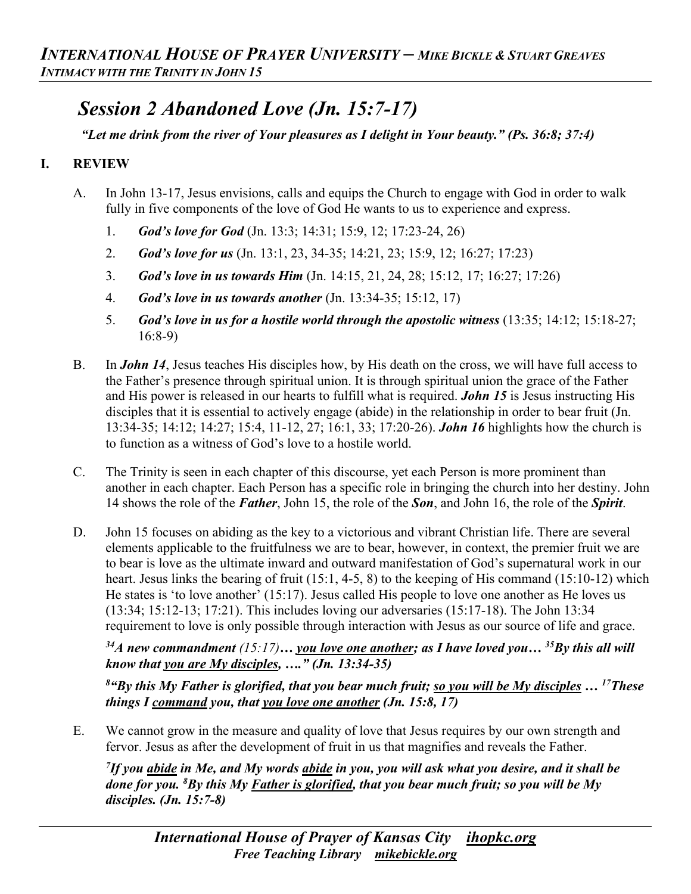# *Session 2 Abandoned Love (Jn. 15:7-17)*

*"Let me drink from the river of Your pleasures as I delight in Your beauty." (Ps. 36:8; 37:4)* 

## **I. REVIEW**

- A. In John 13-17, Jesus envisions, calls and equips the Church to engage with God in order to walk fully in five components of the love of God He wants to us to experience and express.
	- 1. *God's love for God* (Jn. 13:3; 14:31; 15:9, 12; 17:23-24, 26)
	- 2. *God's love for us* (Jn. 13:1, 23, 34-35; 14:21, 23; 15:9, 12; 16:27; 17:23)
	- 3. *God's love in us towards Him* (Jn. 14:15, 21, 24, 28; 15:12, 17; 16:27; 17:26)
	- 4. *God's love in us towards another* (Jn. 13:34-35; 15:12, 17)
	- 5. *God's love in us for a hostile world through the apostolic witness* (13:35; 14:12; 15:18-27; 16:8-9)
- B. In *John 14*, Jesus teaches His disciples how, by His death on the cross, we will have full access to the Father's presence through spiritual union. It is through spiritual union the grace of the Father and His power is released in our hearts to fulfill what is required. *John 15* is Jesus instructing His disciples that it is essential to actively engage (abide) in the relationship in order to bear fruit (Jn. 13:34-35; 14:12; 14:27; 15:4, 11-12, 27; 16:1, 33; 17:20-26). *John 16* highlights how the church is to function as a witness of God's love to a hostile world.
- C. The Trinity is seen in each chapter of this discourse, yet each Person is more prominent than another in each chapter. Each Person has a specific role in bringing the church into her destiny. John 14 shows the role of the *Father*, John 15, the role of the *Son*, and John 16, the role of the *Spirit*.
- D. John 15 focuses on abiding as the key to a victorious and vibrant Christian life. There are several elements applicable to the fruitfulness we are to bear, however, in context, the premier fruit we are to bear is love as the ultimate inward and outward manifestation of God's supernatural work in our heart. Jesus links the bearing of fruit (15:1, 4-5, 8) to the keeping of His command (15:10-12) which He states is 'to love another' (15:17). Jesus called His people to love one another as He loves us (13:34; 15:12-13; 17:21). This includes loving our adversaries (15:17-18). The John 13:34 requirement to love is only possible through interaction with Jesus as our source of life and grace.

*34A new commandment (15:17)… you love one another; as I have loved you… 35By this all will know that you are My disciples, …." (Jn. 13:34-35)*

*8 "By this My Father is glorified, that you bear much fruit; so you will be My disciples … 17These things I command you, that you love one another (Jn. 15:8, 17)* 

E. We cannot grow in the measure and quality of love that Jesus requires by our own strength and fervor. Jesus as after the development of fruit in us that magnifies and reveals the Father.

*7 If you abide in Me, and My words abide in you, you will ask what you desire, and it shall be done for you. 8 By this My Father is glorified, that you bear much fruit; so you will be My disciples. (Jn. 15:7-8)*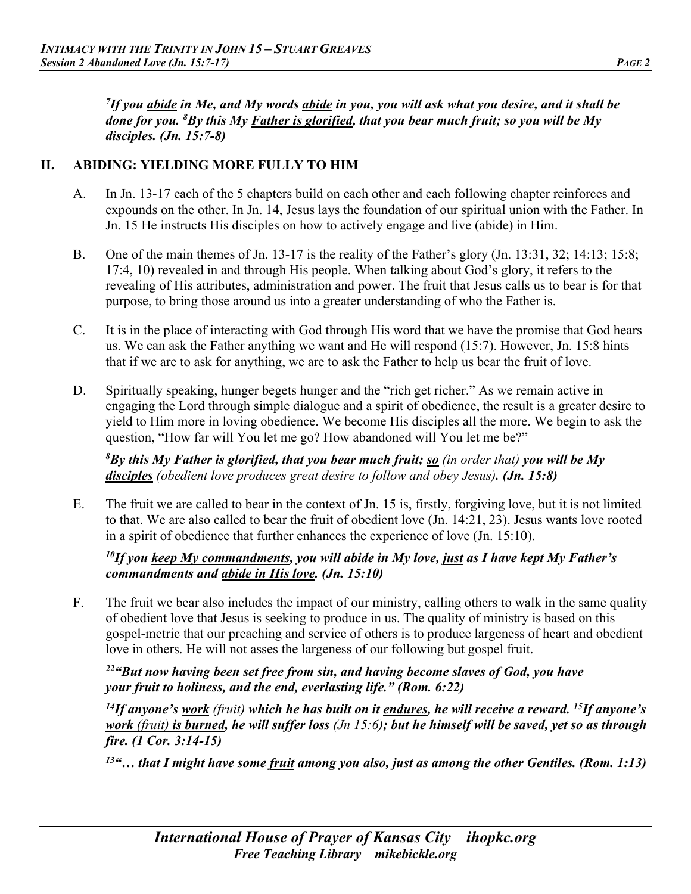*7 If you abide in Me, and My words abide in you, you will ask what you desire, and it shall be done for you. 8 By this My Father is glorified, that you bear much fruit; so you will be My disciples. (Jn. 15:7-8)*

## **II. ABIDING: YIELDING MORE FULLY TO HIM**

- A. In Jn. 13-17 each of the 5 chapters build on each other and each following chapter reinforces and expounds on the other. In Jn. 14, Jesus lays the foundation of our spiritual union with the Father. In Jn. 15 He instructs His disciples on how to actively engage and live (abide) in Him.
- B. One of the main themes of Jn. 13-17 is the reality of the Father's glory (Jn. 13:31, 32; 14:13; 15:8; 17:4, 10) revealed in and through His people. When talking about God's glory, it refers to the revealing of His attributes, administration and power. The fruit that Jesus calls us to bear is for that purpose, to bring those around us into a greater understanding of who the Father is.
- C. It is in the place of interacting with God through His word that we have the promise that God hears us. We can ask the Father anything we want and He will respond (15:7). However, Jn. 15:8 hints that if we are to ask for anything, we are to ask the Father to help us bear the fruit of love.
- D. Spiritually speaking, hunger begets hunger and the "rich get richer." As we remain active in engaging the Lord through simple dialogue and a spirit of obedience, the result is a greater desire to yield to Him more in loving obedience. We become His disciples all the more. We begin to ask the question, "How far will You let me go? How abandoned will You let me be?"

*8 By this My Father is glorified, that you bear much fruit; so (in order that) you will be My disciples (obedient love produces great desire to follow and obey Jesus). (Jn. 15:8)*

E. The fruit we are called to bear in the context of Jn. 15 is, firstly, forgiving love, but it is not limited to that. We are also called to bear the fruit of obedient love (Jn. 14:21, 23). Jesus wants love rooted in a spirit of obedience that further enhances the experience of love (Jn. 15:10).

#### *10If you keep My commandments, you will abide in My love, just as I have kept My Father's commandments and abide in His love. (Jn. 15:10)*

F. The fruit we bear also includes the impact of our ministry, calling others to walk in the same quality of obedient love that Jesus is seeking to produce in us. The quality of ministry is based on this gospel-metric that our preaching and service of others is to produce largeness of heart and obedient love in others. He will not asses the largeness of our following but gospel fruit.

*22"But now having been set free from sin, and having become slaves of God, you have your fruit to holiness, and the end, everlasting life." (Rom. 6:22)*

*14If anyone's work (fruit) which he has built on it endures, he will receive a reward. 15If anyone's work (fruit) is burned, he will suffer loss (Jn 15:6); but he himself will be saved, yet so as through fire. (1 Cor. 3:14-15)*

*13"… that I might have some fruit among you also, just as among the other Gentiles. (Rom. 1:13)*